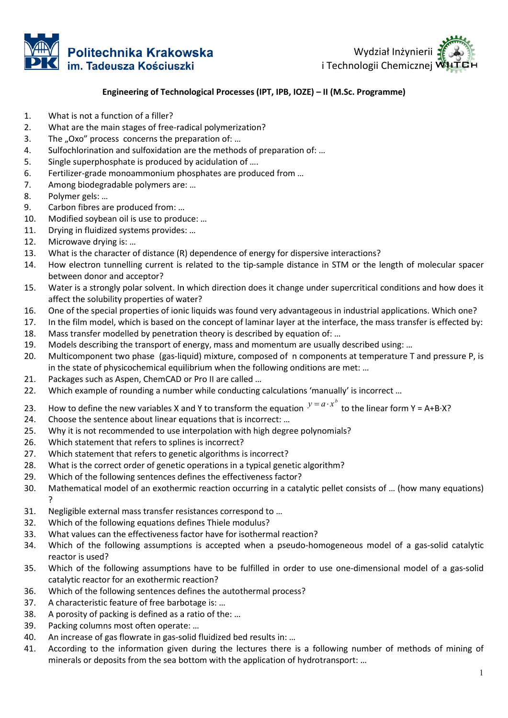



## Engineering of Technological Processes (IPT, IPB, IOZE) - II (M.Sc. Programme)

- 1. What is not a function of a filler?
- 2. What are the main stages of free-radical polymerization?
- 3. The "Oxo" process concerns the preparation of: ...
- 4. Sulfochlorination and sulfoxidation are the methods of preparation of: …
- 5. Single superphosphate is produced by acidulation of ….
- 6. Fertilizer-grade monoammonium phosphates are produced from …
- 7. Among biodegradable polymers are: …
- 8. Polymer gels: …
- 9. Carbon fibres are produced from: …
- 10. Modified soybean oil is use to produce: …
- 11. Drying in fluidized systems provides: …
- 12. Microwave drying is: …
- 13. What is the character of distance (R) dependence of energy for dispersive interactions? are the main stages of free-radical polymerization?<br>Dxo" process concerns the preparation of: ...<br>hlorination and sulfoxidation are the methods of preparation of: ...<br>superphosphate is produced by acidulation of ...<br>radion
- 14. How electron tunnelling current is related to the tip-sample distance in STM or the length of molecular spacer between donor and acceptor?
- 15. Water is a strongly polar solvent. In which direction does it change under supercritical conditions and how does it affect the solubility properties of water?
- 16. One of the special properties of ionic liquids was found very advantageous in industrial applications. Which one?
- 17. In the film model, which is based on the concept of laminar layer at the interface, the mass transfer is effected by: 18. Mass transfer modelled by penetration theory is described by equation of: … One of the special properties of ionic liquids was found very advantageous in industrial applications. Which one<br>In the film model, which is based on the concept of laminar layer at the interface, the mass transfer is effe
- 19. Models describing the transport of energy, mass and momentum are usually described using: ...
- 20. Multicomponent two phase (gas-liquid) mixture, composed of n components at temperature T and pressure P, is<br>in the state of physicochemical equilibrium when the following onditions are met: ...<br>21. Packages such as Asp in the state of physicochemical equilibrium when the following onditions are met: … sample distance in STM or the length of molecular spacer<br>pes it change under supercritical conditions and how does it<br>lvery advantageous in industrial applications. Which one?<br>inar layer at the interface, the mass transfe
- 21. Packages such as Aspen, ChemCAD or Pro II are called ...
- 22. Which example of rounding a number while conducting calculations 'manually' is incorrect ...
- 23. How to define the new variables X and Y to transform the equation  $y = a \cdot x^b$  to the linear form Y = A+B·X?
- 24. Choose the sentence about linear equations that is incorrect: ...
- 25. Why it is not recommended to use interpolation with high degree polynomials?<br>26. Which statement that refers to splines is incorrect?<br>27. Which statement that refers to genetic algorithms is incorrect?
- 26. Which statement that refers to splines is incorrect?
- 27. Which statement that refers to genetic algorithms is incorrect?
- 28. What is the correct order of genetic operations in a typical genetic algorithm? genetic algorithm?
- 29. Which of the following sentences defines the effectiveness factor?
- 30. Mathematical model of an exothermic reaction occurring in a catalytic pellet consists of ... (how many equations) ?
- 31. Negligible external mass transfer resistances correspond to …
- 32. Which of the following equations defines Thiele modulus?
- 33. What values can the effectiveness factor have for isothermal reaction?
- 31. Negligible external mass transfer resistances correspond to ...<br>32. Which of the following equations defines Thiele modulus?<br>33. What values can the effectiveness factor have for isothermal reaction?<br>34. Which of the f reactor is used?
- 35. Which of the following assumptions have to be fulfilled in order to use one-dimensional model of a gas-solid catalytic reactor for an exothermic reaction?
- 36. Which of the following sentences defines the autothermal process?
- 37. A characteristic feature of free barbotage is: …
- 38. A porosity of packing is defined as a ratio of the: …
- 39. Packing columns most often operate: …
- 40. An increase of gas flowrate in gas-solid fluidized bed results in: …
- catalytic reactor for an exothermic reaction?<br>
36. Which of the following sentences defines the autothermal process?<br>
37. A characteristic feature of free barbotage is: ...<br>
38. A porosity of packing is defined as a ratio minerals or deposits from the sea bottom with the application of hydrotransport: …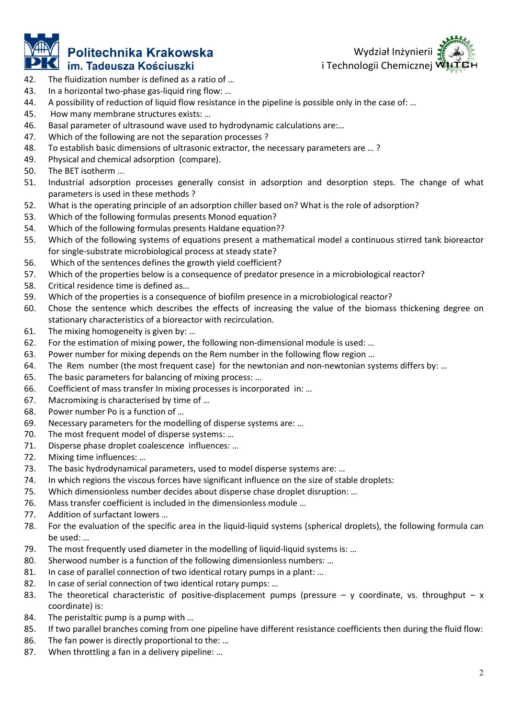

## Politechnika Krakowska im. Tadeusza Kościuszki



- 42. The fluidization number is defined as a ratio of …
- 42. The fluidization number is defined as a ratio of ...<br>43. In a horizontal two-phase gas-liquid ring flow: ...
- 44. A possibility of reduction of liquid flow resistance in the pipeline is possible only in the case of: …
- 45. How many membrane structures exists: …
- 46. Basal parameter of ultrasound wave used to hydrodynamic calculations are:…
- 47. Which of the following are not the separation processes ?
- 48. To establish basic dimensions of ultrasonic extractor, the necessary parameters are … ?
- 49. Physical and chemical adsorption (compare).
- 50. The BET isotherm ...
- 51. Industrial adsorption processes generally consist in adsorption and desorption steps. The change of what parameters is used in these methods ? A possibility of reduction of liquid flow resistance in the pipeline is possible only in the case of: ...<br>How many membrane structures exists: ...<br>Basal parameter of ultrasound wave used to hydrodynamic calculations are:..
- 52. What is the operating principle of an adsorption chiller based on? What is the role of adsorption?
- 53. Which of the following formulas presents Monod equation?
- 54. Which of the following formulas presents Haldane equation??
- 55. Which of the following systems of equations present a mathematical model a continuous stirred tank bioreactor for single-substrate microbiological process at steady state?<br>56. Which of the sentences defines the growth for single-substrate microbiological process at steady state?
- 56. Which of the sentences defines the growth yield coeffic
- 57. Which of the properties below is a consequence of predator presence in a microbiological reactor? microbiological reactor?
- 58. Critical residence time is defined as…
- 59. Which of the properties is a consequence of biofilm presence in a microbiological reactor?
- 60. Chose the sentence which describes the effects of increasing the value of the biomass thickening degree on stationary characteristics of a bioreactor with recirculation.<br>61. The mixing homogeneity is given by: ...<br>62. stationary characteristics of a bioreactor with recirculation.
- 61. The mixing homogeneity is given by: …
- 62. For the estimation of mixing power, the following non-dimensional module is used: ...
- 63. Power number for mixing depends on the Rem number in the following flow region …
- 64. The Rem number (the most frequent case) for the newtonian and non mixing Rem number flow region Rem number (the for the non-newtonian systems differs by: …
- 65. The basic parameters for balancing of mixing process: …
- 65. The basic parameters for balancing of mixing process: ...<br>66. Coefficient of mass transfer In mixing processes is incorporated in: ...
- 67. Macromixing is characterised by time of …
- 68. Power number Po is a function of …
- 67. Macromixing is characterised by time of ...<br>68. Power number Po is a function of ...<br>69. Necessary parameters for the modelling of disperse systems are: ...
- 70. The most frequent model of disperse systems: ...
- 71. Disperse phase droplet coalescence influences: ...
- 72. Mixing time influences: …
- 73. The basic hydrodynamical parameters, used to model disperse systems are: …
- 74. In which regions the viscous forces have significant influence on the size of stable droplets: mical parameters, used to model disperse systems are: ...<br>viscous forces have significant influence on the size of stable<br>; number decides about disperse chase droplet disruption: ...
- 75. Which dimensionless number decides about disperse chase droplet disruption: …
- 76. Mass transfer coefficient is included in the dimensionless module …
- 77. Addition of surfactant lowers …
- 76. Mass transfer coefficient is included in the dimensionless module ...<br>77. Addition of surfactant lowers ...<br>78. For the evaluation of the specific area in the liquid-liquid systems (spherical droplets), the following f be used: … on-dimensional module is used: ...<br>
ber in the following flow region ...<br>
s: ...<br>
s: ...<br>
s: ...<br>
corporated in: ...<br>
systems are: ...<br>
el disperse systems are: ...<br>
el disperse systems are: ...<br>
el disperse systems are: .
- 79. The most frequently used diameter in the modelling of liquid-liquid systems is: ...
- 80. Sherwood number is a function of the following dimensionless numbers: ...
- 81. In case of parallel connection of two identical rotary pumps in a plant: ...<br>82. In case of serial connection of two identical rotary pumps: ...
- 82. In case of serial connection of two identical rotary pumps: ...
- 83. The theoretical characteristic of positive-displacement pumps (pressure y coordinate, vs. throughput coordinate) is:
- 84. The peristaltic pump is a pump with ...
- 85. If two parallel branches coming from one pipeline have different resistance coefficients then during the fluid flow:<br>86. The fan power is directly proportional to the: ...<br>87. When throttling a fan in a delivery pipeli
- 86. The fan power is directly proportional to the: ...
- 87. When throttling a fan in a delivery pipeline: ...